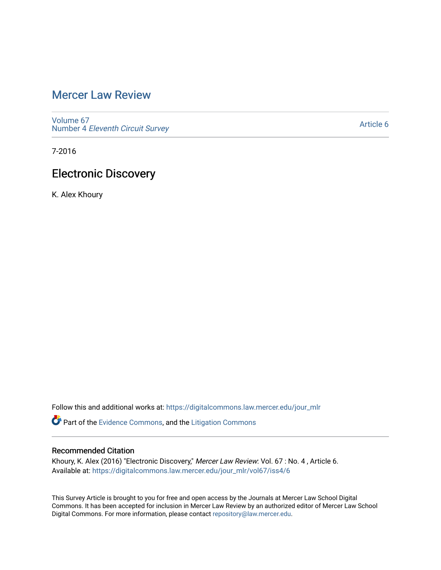# [Mercer Law Review](https://digitalcommons.law.mercer.edu/jour_mlr)

[Volume 67](https://digitalcommons.law.mercer.edu/jour_mlr/vol67) Number 4 [Eleventh Circuit Survey](https://digitalcommons.law.mercer.edu/jour_mlr/vol67/iss4) 

[Article 6](https://digitalcommons.law.mercer.edu/jour_mlr/vol67/iss4/6) 

7-2016

# Electronic Discovery

K. Alex Khoury

Follow this and additional works at: [https://digitalcommons.law.mercer.edu/jour\\_mlr](https://digitalcommons.law.mercer.edu/jour_mlr?utm_source=digitalcommons.law.mercer.edu%2Fjour_mlr%2Fvol67%2Fiss4%2F6&utm_medium=PDF&utm_campaign=PDFCoverPages)

Part of the [Evidence Commons,](http://network.bepress.com/hgg/discipline/601?utm_source=digitalcommons.law.mercer.edu%2Fjour_mlr%2Fvol67%2Fiss4%2F6&utm_medium=PDF&utm_campaign=PDFCoverPages) and the [Litigation Commons](http://network.bepress.com/hgg/discipline/910?utm_source=digitalcommons.law.mercer.edu%2Fjour_mlr%2Fvol67%2Fiss4%2F6&utm_medium=PDF&utm_campaign=PDFCoverPages) 

## Recommended Citation

Khoury, K. Alex (2016) "Electronic Discovery," Mercer Law Review: Vol. 67 : No. 4 , Article 6. Available at: [https://digitalcommons.law.mercer.edu/jour\\_mlr/vol67/iss4/6](https://digitalcommons.law.mercer.edu/jour_mlr/vol67/iss4/6?utm_source=digitalcommons.law.mercer.edu%2Fjour_mlr%2Fvol67%2Fiss4%2F6&utm_medium=PDF&utm_campaign=PDFCoverPages)

This Survey Article is brought to you for free and open access by the Journals at Mercer Law School Digital Commons. It has been accepted for inclusion in Mercer Law Review by an authorized editor of Mercer Law School Digital Commons. For more information, please contact [repository@law.mercer.edu](mailto:repository@law.mercer.edu).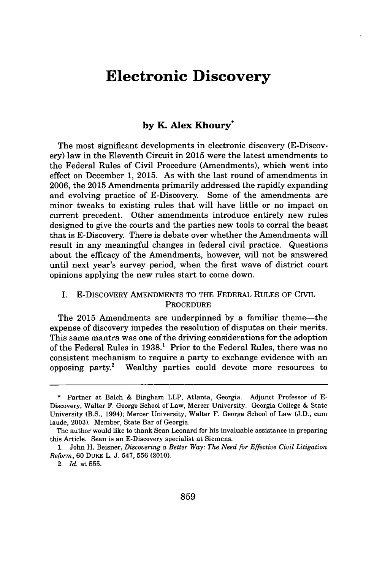## **Electronic Discovery**

## **by K. Alex Khoury\***

**The** most significant developments in electronic discovery (E-Discovery) law in the Eleventh Circuit in **2015** were the latest amendments to the Federal Rules of Civil Procedure (Amendments), which went into effect on December **1, 2015.** As with the last round of amendments in **2006,** the **2015** Amendments primarily addressed the rapidly expanding and evolving practice of E-Discovery. Some of the amendments are minor tweaks to existing rules that will have little or no impact on current precedent. Other amendments introduce entirely new rules designed to give the courts and the parties new tools to corral the beast that is E-Discovery. There is debate over whether the Amendments will result in any meaningful changes in federal civil practice. Questions about the efficacy of the Amendments, however, will not be answered until next year's survey period, when the first wave of district court opinions applying the new rules start to come down.

## I. E-DISCOVERY **AMENDMENTS** TO THE FEDERAL **RULES** OF CIVIL **PROCEDURE**

The **2015** Amendments are underpinned **by** a familiar theme-the expense of discovery impedes the resolution of disputes on their merits. This same mantra was one of the driving considerations for the adoption of the Federal Rules in **1938.'** Prior to the Federal Rules, there was no consistent mechanism to require a party to exchange evidence with an opposing party.' Wealthy parties could devote more resources to

**<sup>\*</sup>** Partner at Balch **&** Bingham LLP, Atlanta, Georgia. Adjunct Professor of **E-**Discovery, Walter F. George School of Law, Mercer University. Georgia College **&** State University (B.S., 1994); Mercer University, Walter F. George School of Law **(J.D.,** cum laude, **2003).** Member, State Bar of Georgia.

The author would like to thank Sean Leonard for his invaluable assistance in preparing this Article. Sean is an E-Discovery specialist at Siemens.

**<sup>1.</sup>** John H. Beisner, *Discovering a Better Way: The Need for Effective Civil Litigation Reform,* **60** DuKE L. **J.** 547, **556** (2010).

<sup>2.</sup> *Id.* at **555.**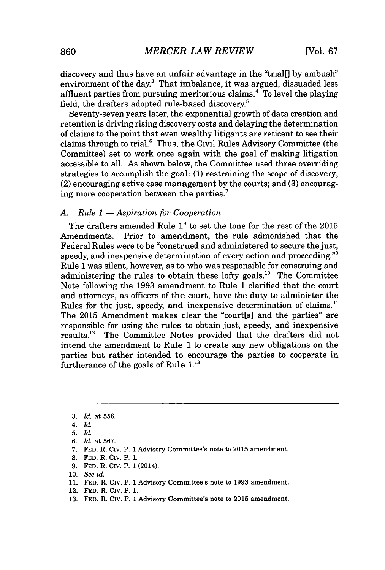discovery and thus have an unfair advantage in the "trial[] **by** ambush" environment of the day.<sup>3</sup> That imbalance, it was argued, dissuaded less affluent parties from pursuing meritorious claims.' To level the playing field, the drafters adopted rule-based discovery.<sup>5</sup>

Seventy-seven years later, the exponential growth of data creation and retention is driving rising discovery costs and delaying the determination of claims to the point that even wealthy litigants are reticent to see their claims through to trial.<sup>6</sup> Thus, the Civil Rules Advisory Committee (the Committee) set to work once again with the goal of making litigation accessible to all. As shown below, the Committee used three overriding strategies to accomplish the goal: **(1)** restraining the scope of discovery; (2) encouraging active case management **by** the courts; and **(3)** encouraging more cooperation between the parties.'

### *A. Rule 1* **-** *Aspiration for Cooperation*

The drafters amended Rule **18** to set the tone for the rest of the **2015** Amendments. Prior to amendment, the rule admonished that the Federal Rules were to be "construed and administered to secure the just, speedy, and inexpensive determination of every action and proceeding."<sup>9</sup> Rule **1** was silent, however, as to who was responsible for construing and administering the rules to obtain these lofty goals.<sup>10</sup> The Committee Note following the **1993** amendment to Rule **1** clarified that the court and attorneys, as officers of the court, have the duty to administer the Rules for the just, speedy, and inexpensive determination of claims.<sup>11</sup> The **2015** Amendment makes clear the "court[s] and the parties" are responsible for using the rules to obtain just, speedy, and inexpensive results.<sup>12</sup> The Committee Notes provided that the drafters did not intend the amendment to Rule **1** to create any new obligations on the parties but rather intended to encourage the parties to cooperate in furtherance of the goals of Rule 1.

- **9. FED.** R. Civ. P. **1** (2014).
- **10.** *See id.*
- **11. FED.** R. Civ. P. **1** Advisory Committee's note to **1993** amendment.
- 12. **FED.** R. Civ. P. **1.**
- **13. FED.** R. Civ. P. **1** Advisory Committee's note to **2015** amendment.

**<sup>3.</sup>** *Id.* at **556.**

*<sup>4.</sup> Id.*

**<sup>5.</sup>** *Id.*

*<sup>6.</sup> Id.* at **567.**

**<sup>7.</sup> FED.** R. CIv. P. **1** Advisory Committee's note to **2015** amendment.

**<sup>8.</sup> FED.** R. CIv. P. **1.**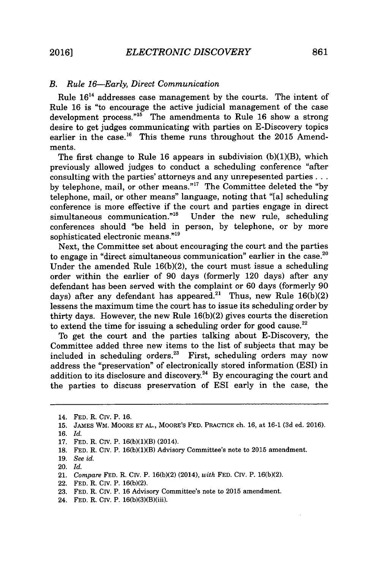#### *B. Rule 16-Early, Direct Communication*

Rule **1614** addresses case management **by** the courts. The intent of Rule **16** is "to encourage the active judicial management of the case development process."<sup>15</sup> The amendments to Rule 16 show a strong desire to get judges communicating with parties on E-Discovery topics earlier in the case.<sup>16</sup> This theme runs throughout the 2015 Amendments.

The first change to Rule **16** appears in subdivision **(b)(1)(B),** which previously allowed judges to conduct a scheduling conference "after consulting with the parties' attorneys and any unrepesented parties **...** by telephone, mail, or other means."<sup>17</sup> The Committee deleted the "by telephone, mail, or other means" language, noting that "[a] scheduling conference is more effective if the court and parties engage in direct simultaneous communication."<sup>18</sup> Under the new rule, scheduling  $simultaneous communication.<sup>n18</sup>$ conferences should "be held in person, **by** telephone, or **by** more sophisticated electronic means."<sup>19</sup>

Next, the Committee set about encouraging the court and the parties to engage in "direct simultaneous communication" earlier in the case. $2^{\circ}$ Under the amended Rule **16(b)(2),** the court must issue a scheduling order within the earlier of **90** days (formerly 120 days) after any defendant has been served with the complaint or **60** days (formerly **90** days) after any defendant has appeared.<sup>21</sup> Thus, new Rule 16(b)(2 lessens the maximum time the court has to issue its scheduling order **by** thirty days. However, the new Rule **16(b)(2)** gives courts the discretion to extend the time for issuing a scheduling order for good cause.<sup>22</sup>

To get the court and the parties talking about E-Discovery, the Committee added three new items to the list of subjects that may be included in scheduling orders. $23$  First, scheduling orders may now address the "preservation" of electronically stored information (ESI) in addition to its disclosure and discovery.<sup>24</sup> By encouraging the court and the parties to discuss preservation of ESI early in the case, the

**19.** *See id.*

- 22. **FED.** R. Civ. P. **16(b)(2).**
- **23. FED.** R. CIV. P. **16** Advisory Committee's note to **2015** amendment.
- 24. **FED.** R. CIV. P. 16(b)(3)(B)(iii).

<sup>14.</sup> **FED.** R. Civ. P. **16.**

**<sup>15.</sup> JAMES** WM. MOORE **ET AL.,** MOORE'S **FED.** PRACTICE ch. **16,** at **16-1 (3d** ed. **2016).**

**<sup>16.</sup>** *Id.*

**<sup>17.</sup> FED.** R. CIV. P. **16(b)(1)(B)** (2014).

**<sup>18.</sup> FED.** R. Civ. P. **16(b)(1)(B)** Advisory Committee's note to **2015** amendment.

<sup>20.</sup> *Id.*

<sup>21.</sup> *Compare* **FED.** R. Civ. P. **16(b)(2)** (2014), *with* **FED. CIV.** P. **16(b)(2).**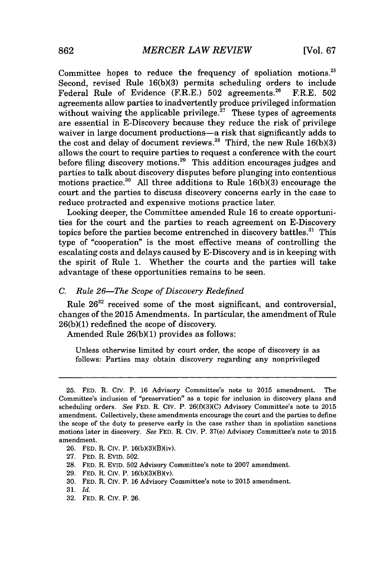Committee hopes to reduce the frequency of spoliation motions.<sup>25</sup> Second, revised Rule 16(b)(3) permits scheduling orders to include Federal Rule of Evidence (F.R.E.) 502 agreements.<sup>26</sup> F.R.E. 502 Federal Rule of Evidence (F.R.E.) 502 agreements.<sup>26</sup> agreements allow parties to inadvertently produce privileged information without waiving the applicable privilege.<sup>27</sup> These types of agreements are essential in E-Discovery because they reduce the risk of privilege waiver in large document productions-a risk that significantly adds to the cost and delay of document reviews.<sup>28</sup>Third, the new Rule **16(b)(3)** allows the court to require parties to request a conference with the court before filing discovery motions.<sup>29</sup> This addition encourages judges and parties to talk about discovery disputes before plunging into contentious motions practice.<sup>30</sup> All three additions to Rule 16(b)(3) encourage the court and the parties to discuss discovery concerns early in the case to reduce protracted and expensive motions practice later.

Looking deeper, the Committee amended Rule **16** to create opportunities for the court and the parties to reach agreement on E-Discovery topics before the parties become entrenched in discovery battles.<sup>31</sup> This type of "cooperation" is the most effective means of controlling the escalating costs and delays caused **by** E-Discovery and is in keeping with the spirit of Rule **1.** Whether the courts and the parties will take advantage of these opportunities remains to be seen.

#### *C. Rule 26-The Scope of Discovery Redefined*

Rule **2632** received some of the most significant, and controversial, changes of the **2015** Amendments. In particular, the amendment of Rule **26(b)(1)** redefined the scope of discovery.

Amended Rule **26(b)(1)** provides as follows:

Unless otherwise limited **by** court order, the scope of discovery is as follows: Parties may obtain discovery regarding any nonprivileged

**28. FED.** R. EVID. **502** Advisory Committee's note to **2007** amendment.

**30. FED.** R. CIv. P. **16** Advisory Committee's note to **2015** amendment.

**32. FED.** R. Civ. P. **26.**

**<sup>25.</sup> FED.** R. CIv. P. **16** Advisory Committee's note to **2015** amendment. The Committee's inclusion of "preservation" as a topic for inclusion in discovery plans and scheduling orders. *See* **FED.** R. Civ. P. **26(f)(3)(C)** Advisory Committee's note to **2015** amendment. Collectively, these amendments encourage the court and the parties to define the scope of the duty to preserve early in the case rather than in spoliation sanctions motions later in discovery. *See* **FED.** R. **Civ.** P. 37(e) Advisory Committee's note to **2015** amendment.

**<sup>26.</sup> FED.** R. CIv. P. 16(b)(3)(B)(iv).

**<sup>27.</sup> FED.** R. EVID. **502.**

**<sup>29.</sup> FED.** R. Civ. P. 16(b)(3)(B)(v).

**<sup>31.</sup>** *Id.*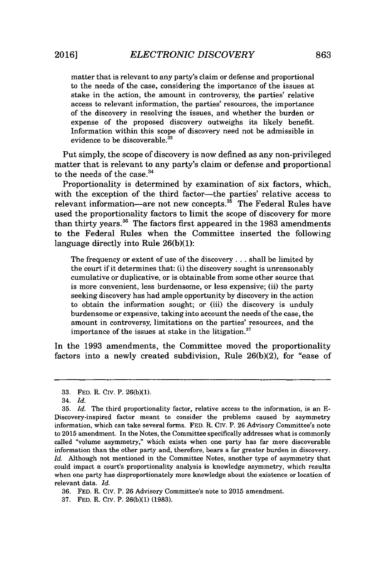matter that is relevant to any party's claim or defense and proportional to the needs of the case, considering the importance of the issues at stake in the action, the amount in controversy, the parties' relative access to relevant information, the parties' resources, the importance of the discovery in resolving the issues, and whether the burden or expense of the proposed discovery outweighs its likely benefit. Information within this scope of discovery need not be admissible in evidence to be discoverable.<sup>33</sup>

Put simply, the scope of discovery is now defined as any non-privileged matter that is relevant to any party's claim or defense and proportional to the needs of the case. $34$ 

Proportionality is determined **by** examination of six factors, which, with the exception of the third factor-the parties' relative access to relevant information—are not new concepts.<sup>35</sup> The Federal Rules have used the proportionality factors to limit the scope of discovery for more than thirty years.36 The factors first appeared in the **1983** amendments to the Federal Rules when the Committee inserted the following language directly into Rule **26(b)(1):**

The frequency or extent of use of the discovery **.** . **.** shall be limited **by** the court if it determines that: (i) the discovery sought is unreasonably cumulative or duplicative, or is obtainable from some other source that is more convenient, less burdensome, or less expensive; (ii) the party seeking discovery has had ample opportunity **by** discovery in the action to obtain the information sought; or (iii) the discovery is unduly burdensome or expensive, taking into account the needs of the case, the amount in controversy, limitations on the parties' resources, and the importance of the issues at stake in the litigation. $37$ 

In the **1993** amendments, the Committee moved the proportionality factors into a newly created subdivision, Rule **26(b)(2),** for "ease of

**36. FED.** R. CIv. P. **26** Advisory Committee's note to **2015** amendment.

**37. FED.** R. CIv. P. **26(b)(1) (1983).**

**<sup>33.</sup> FED.** R. CIv. P. **26(b)(1).**

<sup>34.</sup> *Id.*

**<sup>35.</sup>** *Id.* The third proportionality factor, relative access to the information, is an **E-**Discovery-inspired factor meant to consider the problems caused **by** asymmetry information, which can take several forms. **FED.** R. Civ. P. **26** Advisory Committee's note to **2015** amendment. In the Notes, the Committee specifically addresses what is commonly called "volume asymmetry," which exists when one party has far more discoverable information than the other party and, therefore, bears a far greater burden in discovery. *Id.* Although not mentioned in the Committee Notes, another type of asymmetry that could impact a court's proportionality analysis is knowledge asymmetry, which results when one party has disproportionately more knowledge about the existence or location of relevant data. *Id.*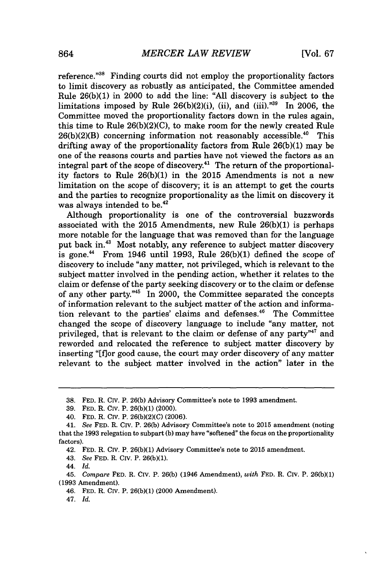reference."<sup>38</sup> Finding courts did not employ the proportionality factors to limit discovery as robustly as anticipated, the Committee amended Rule **26(b)(1)** in 2000 to add the line: **"All** discovery is subject to the limitations imposed by Rule  $26(b)(2)(i)$ , (ii), and (iii).<sup> $n39$ </sup> In 2006, the Committee moved the proportionality factors down in the rules again, this time to Rule **26(b)(2)(C),** to make room for the newly created Rule  $26(b)(2)(B)$  concerning information not reasonably accessible.<sup>40</sup> This drifting away of the proportionality factors from Rule **26(b)(1)** may be one of the reasons courts and parties have not viewed the factors as an integral part of the scope of discovery.<sup>41</sup> The return of the proportionality factors to Rule **26(b)(1)** in the **2015** Amendments is not a new limitation on the scope of discovery; it is an attempt to get the courts and the parties to recognize proportionality as the limit on discovery it was always intended to be.<sup>42</sup>

Although proportionality is one of the controversial buzzwords associated with the **2015** Amendments, new Rule **26(b)(1)** is perhaps more notable for the language that was removed than for the language put back in.<sup>43</sup> Most notably, any reference to subject matter discovery is gone." From 1946 until **1993,** Rule **26(b)(1)** defined the scope of discovery to include "any matter, not privileged, which is relevant to the subject matter involved in the pending action, whether it relates to the claim or defense of the party seeking discovery or to the claim or defense of any other party."<sup>45</sup> In 2000, the Committee separated the concepts of information relevant to the subject matter of the action and information relevant to the parties' claims and defenses. $46$  The Committee changed the scope of discovery language to include "any matter, not privileged, that is relevant to the claim or defense of any party<sup> $n47$ </sup> and reworded and relocated the reference to subject matter discovery **by** inserting "[flor good cause, the court may order discovery of any matter relevant to the subject matter involved in the action" later in the

- 42. **FED.** R. Civ. P. **26(b)(1)** Advisory Committee's note to 2015 amendment.
- 43. *See* **FED.** R. Civ. P. **26(b)(1).**

- 46. **FED.** R. CIv. P. **26(b)(1)** (2000 Amendment).
- 47. *Id.*

**<sup>38.</sup> FED.** R. Civ. P. **26(b)** Advisory Committee's note to **1993** amendment.

**<sup>39.</sup> FED.** R. CIv. P. **26(b)(1)** (2000).

<sup>40.</sup> **FED.** R. Civ. P. **26(b)(2)(C) (2006).**

<sup>41.</sup> *See* **FED.** R. **Civ.** P. **26(b)** Advisory Committee's note to **2015** amendment (noting that the **1993** relegation to subpart **(b)** may have "softened" the focus on the proportionality factors).

<sup>44.</sup> *Id.*

<sup>45.</sup> *Compare* **FED.** R. CIv. P. **26(b)** (1946 Amendment), *with* **FED.** R. **Civ.** P. **26(b)(1) (1993** Amendment).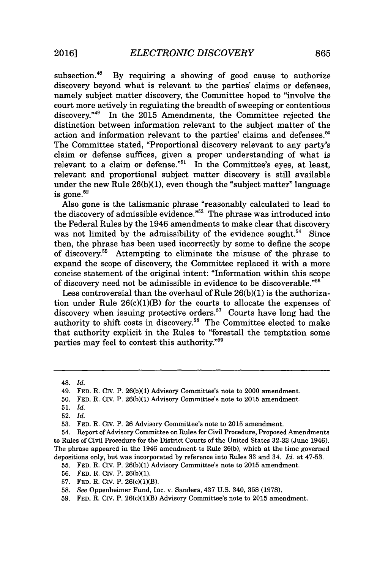subsection.<sup>48</sup> By requiring a showing of good cause to authorize discovery beyond what is relevant to the parties' claims or defenses, namely subject matter discovery, the Committee hoped to "involve the court more actively in regulating the breadth of sweeping or contentious discovery." In the **2015** Amendments, the Committee rejected the distinction between information relevant to the subject matter of the action and information relevant to the parties' claims and defenses. $50$ The Committee stated, "Proportional discovery relevant to any party's claim or defense suffices, given a proper understanding of what is relevant to a claim or defense." $1$  In the Committee's eyes, at least, relevant and proportional subject matter discovery is still available under the new Rule **26(b)(1),** even though the "subject matter" language is gone. $52$ 

Also gone is the talismanic phrase "reasonably calculated to lead to the discovery of admissible evidence."<sup>53</sup> The phrase was introduced into the Federal Rules **by** the 1946 amendments to make clear that discovery was not limited by the admissibility of the evidence sought.<sup>54</sup> Since then, the phrase has been used incorrectly **by** some to define the scope of discovery." Attempting to eliminate the misuse of the phrase to expand the scope of discovery, the Committee replaced it with a more concise statement of the original intent: "Information within this scope of discovery need not be admissible in evidence to be discoverable.""

Less controversial than the overhaul of Rule **26(b)(1)** is the authorization under Rule  $26(c)(1)(B)$  for the courts to allocate the expenses of discovery when issuing protective orders.<sup>57</sup> Courts have long had the authority to shift costs in discovery.<sup>58</sup> The Committee elected to make that authority explicit in the Rules to "forestall the temptation some parties may feel to contest this authority."<sup>59</sup>

<sup>48.</sup> *Id.*

<sup>49.</sup> **FED.** R. Civ. P. **26(b)(1)** Advisory Committee's note to 2000 amendment.

**<sup>50.</sup> FED.** R. Civ. P. **26(b)(1)** Advisory Committee's note to 2015 amendment.

**<sup>51.</sup>** *Id.*

<sup>52.</sup> *Id.*

**<sup>53.</sup> FED.** R. Civ. P. **26** Advisory Committee's note to **2015** amendment.

<sup>54.</sup> Report of Advisory Committee on Rules for Civil Procedure, Proposed Amendments to Rules of Civil Procedure for the District Courts of the United States **32-33** (June 1946). The phrase appeared in the 1946 amendment to Rule **26(b),** which at the time governed depositions only, but was incorporated **by** reference into Rules **33** and 34. *Id.* at **47-53.**

**<sup>55.</sup> FED.** R. Civ. P. **26(b)(1)** Advisory Committee's note to **2015** amendment.

**<sup>56.</sup> FED.** R. CIv. P. **26(b)(1).**

**<sup>57.</sup> FED.** R. Civ. P. 26(c)(1)(B).

**<sup>58.</sup>** *See* Oppenheimer Fund, Inc. v. Sanders, 437 **U.S.** 340, **358 (1978).**

**<sup>59.</sup> FED.** R. Civ. P. 26(c)(1)(B) Advisory Committee's note to **2015** amendment.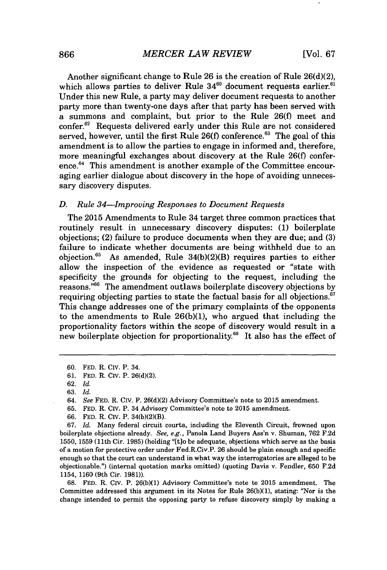Another significant change to Rule **26** is the creation of Rule **26(d)(2),** which allows parties to deliver Rule  $34^{60}$  document requests earlier.<sup>61</sup> Under this new Rule, a party may deliver document requests to another party more than twenty-one days after that party has been served with a summons and complaint, but prior to the Rule **26(f)** meet and confer.<sup>62</sup> Requests delivered early under this Rule are not considered served, however, until the first Rule 26(f) conference.<sup>63</sup> The goal of this amendment is to allow the parties to engage in informed and, therefore, more meaningful exchanges about discovery at the Rule **26(f)** conference.<sup>64</sup> This amendment is another example of the Committee encouraging earlier dialogue about discovery in the hope of avoiding unnecessary discovery disputes.

### *D. Rule 34-Improving Responses to Document Requests*

The **2015** Amendments to Rule 34 target three common practices that routinely result in unnecessary discovery disputes: **(1)** boilerplate objections; (2) failure to produce documents when they are due; and **(3)** failure to indicate whether documents are being withheld due to an objection.<sup>65</sup> As amended, Rule 34(b)(2)(B) requires parties to either allow the inspection of the evidence as requested or "state with specificity the grounds for objecting to the request, including the reasons."<sup>66</sup> The amendment outlaws boilerplate discovery objections by requiring objecting parties to state the factual basis for all objections.<sup>67</sup> This change addresses one of the primary complaints of the opponents to the amendments to Rule **26(b)(1),** who argued that including the proportionality factors within the scope of discovery would result in a new boilerplate objection for proportionality.<sup>68</sup> It also has the effect of

**65. FED.** R. CIv. P. 34 Advisory Committee's note to **2015** amendment.

**68. FED.** R. Civ. P. **26(b)(1)** Advisory Committee's note to **2015** amendment. The Committee addressed this argument in its Notes for Rule **26(b)(1),** stating: "Nor is the change intended to permit the opposing party to refuse discovery simply **by** making a

**<sup>60.</sup> FED.** R. Civ. P. 34.

**<sup>61.</sup> FED.** R. Civ. P. **26(d)(2).**

**<sup>62.</sup>** *Id.*

**<sup>63.</sup>** *Id.*

*<sup>64.</sup> See* **FED.** R. Civ. P. **26(d)(2)** Advisory Committee's note to **2015** amendment.

**<sup>66.</sup> FED.** R. Civ. P. 34(b)(2)(B).

*<sup>67.</sup> Id.* Many federal circuit courts, including the Eleventh Circuit, frowned upon boilerplate objections already. *See, e.g.,* Panola Land Buyers Ass'n v. Shuman, **762 F.2d 1550, 1559 (11th** Cir. **1985)** (holding "[t]o be adequate, objections which serve as the basis of a motion for protective order under Fed.R.Civ.P. **26** should be plain enough and specific enough so that the court can understand in what way the interrogatories are alleged to be objectionable.") (internal quotation marks omitted) (quoting Davis v. Fendler, **650 F.2d** 1154, **1160** (9th Cir. **1981)).**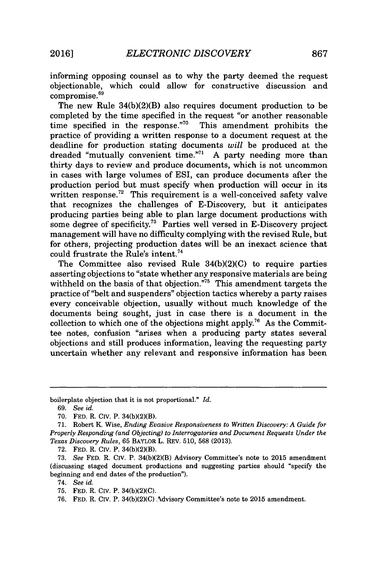informing opposing counsel as to why the party deemed the request objectionable, which could allow for constructive discussion and compromise.<sup>69</sup>

The new Rule 34(b)(2)(B) also requires document production to be completed **by** the time specified in the request "or another reasonable time specified in the response."<sup>70</sup> This amendment prohibits the practice of providing a written response to a document request at the deadline for production stating documents *will* be produced at the dreaded "mutually convenient time."" **A** party needing more than thirty days to review and produce documents, which is not uncommon in cases with large volumes of ESI, can produce documents after the production period but must specify when production will occur in its written response.<sup>72</sup> This requirement is a well-conceived safety valve that recognizes the challenges of E-Discovery, but it anticipates producing parties being able to plan large document productions with some degree of specificity.<sup>73</sup> Parties well versed in E-Discovery project management will have no difficulty complying with the revised Rule, but for others, projecting production dates will be an inexact science that could frustrate the Rule's intent.

The Committee also revised Rule **34(b)(2)(C)** to require parties asserting objections to "state whether any responsive materials are being withheld on the basis of that objection."<sup>75</sup> This amendment targets the practice of "belt and suspenders" objection tactics whereby a party raises every conceivable objection, usually without much knowledge of the documents being sought, just in case there is a document in the collection to which one of the objections might apply.<sup>76</sup> As the Committee notes, confusion "arises when a producing party states several objections and still produces information, leaving the requesting party uncertain whether any relevant and responsive information has been

boilerplate objection that it is not proportional." *Id.*

**72. FED.** R. Civ. P. 34(b)(2)(B).

74. *See id.*

*<sup>69.</sup> See id.*

**<sup>70.</sup> FED.** R. Civ. P. 34(b)(2)(B).

**<sup>71.</sup>** Robert K. Wise, *Ending Evasive Responsiveness to Written Discovery: A Guide for Properly Responding (and Objecting) to Interrogatories and Document Requests Under the Texas Discovery Rules,* **65** BAYLOR L. REV. **510, 568 (2013).**

**<sup>73.</sup>** *See* **FED.** R. *CIV.* P. 34(b)(2)(B) Advisory Committee's note to **2015** amendment (discussing staged document productions and suggesting parties should "specify the beginning and end dates of the production").

**<sup>75,</sup> FED.** R. CIv. P. **34(b)(2)(C).**

**<sup>76.</sup> FED.** R. CIv. P. 34(b)(2)(C) Advisory Committee's note to **2015** amendment.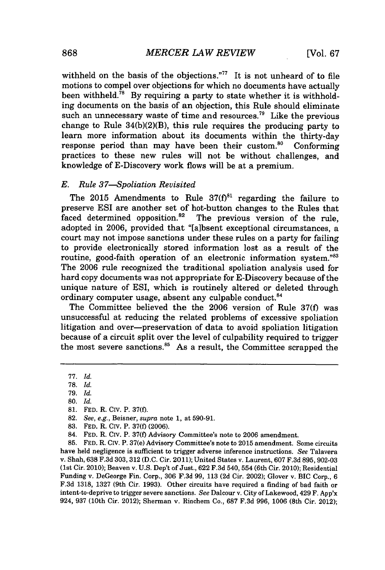withheld on the basis of the objections."<sup>77</sup> It is not unheard of to file motions to compel over objections for which no documents have actually been withheld.<sup>78</sup> By requiring a party to state whether it is withholding documents on the basis of an objection, this Rule should eliminate such an unnecessary waste of time and resources.<sup>79</sup> Like the previous change to Rule 34(b)(2)(B), this rule requires the producing party to learn more information about its documents within the thirty-day response period than may have been their custom.<sup>80</sup> Conforming practices to these new rules will not be without challenges, and knowledge of E-Discovery work flows will be at a premium.

### *E. Rule 37-Spoliation Revisited*

The  $2015$  Amendments to Rule  $37(f)^{81}$  regarding the failure to preserve ESI are another set of hot-button changes to the Rules that faced determined opposition. $82$  The previous version of the rule. adopted in **2006,** provided that "[albsent exceptional circumstances, a court may not impose sanctions under these rules on a party for failing to provide electronically stored information lost as a result of the routine, good-faith operation of an electronic information system."83 The **2006** rule recognized the traditional spoliation analysis used for hard copy documents was not appropriate for E-Discovery because of the unique nature of ESI, which is routinely altered or deleted through ordinary computer usage, absent any culpable conduct.<sup>84</sup>

The Committee believed the the **2006** version of Rule **37(f)** was unsuccessful at reducing the related problems of excessive spoliation litigation and over-preservation of data to avoid spoliation litigation because of a circuit split over the level of culpability required to trigger the most severe sanctions. $85$  As a result, the Committee scrapped the

**85. FED.** R. Civ. P. 37(e) Advisory Committee's note to **2015** amendment. Some circuits have held negligence is sufficient to trigger adverse inference instructions. *See* Talavera v. Shah, **638 F.3d 303, 312 (D.C.** Cir. 2011); United States v. Laurent, **607 F.3d 895, 902-03** (1st Cir. 2010); Beaven v. **U.S.** Dep't of Just., **622 F.3d** 540, 554 (6th Cir. 2010); Residential Funding v. DeGeorge Fin. Corp., **306 F.3d 99, 113 (2d** Cir. 2002); Glover v. BIC Corp., **6 F.3d 1318, 1327** (9th Cir. **1993).** Other circuits have required a finding of bad faith or intent-to-deprive to trigger severe sanctions. *See* Dalcour v. City of Lakewood, 429 **F.** App'x 924, **937** (10th Cir. 2012); Sherman v. Rinchem Co., **687 F.3d 996, 1006** (8th Cir. 2012);

*<sup>77.</sup> Id.*

**<sup>78.</sup>** *Id.*

**<sup>79.</sup>** *Id.*

**<sup>80.</sup>** *Id.*

**<sup>81.</sup> FED.** R. Civ. P. **37(f).**

**<sup>82.</sup>** *See, e.g., Beisner, supra* note **1,** at **590-91.**

**<sup>83.</sup> FED.** R. Civ. P. **37(f) (2006).**

<sup>84.</sup> **FED.** R. Civ. P. **37(f)** Advisory Committee's note to **2006** amendment.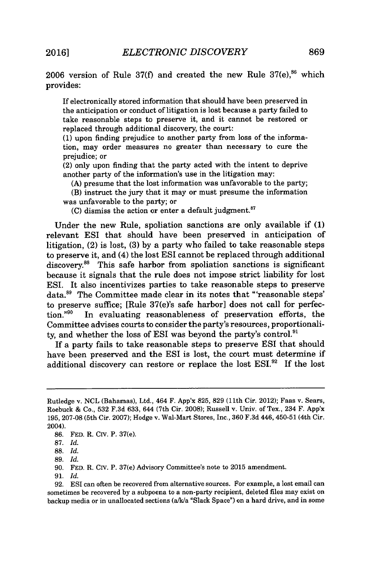2006 version of Rule 37(f) and created the new Rule 37(e),<sup>86</sup> which provides:

If electronically stored information that should have been preserved in the anticipation or conduct of litigation is lost because a party failed to take reasonable steps to preserve it, and it cannot be restored or replaced through additional discovery, the court:

**(1)** upon finding prejudice to another party from loss of the information, may order measures no greater than necessary to cure the prejudice; or

(2) only upon finding that the party acted with the intent to deprive another party of the information's use in the litigation may:

**(A)** presume that the lost information was unfavorable to the party;

(B) instruct the jury that it may or must presume the information was unfavorable to the party; or

(C) dismiss the action or enter a default judgment.<sup>87</sup>

Under the new Rule, spoliation sanctions are only available if **(1)** relevant ESI that should have been preserved in anticipation of litigation, (2) is lost, **(3) by** a party who failed to take reasonable steps to preserve it, and (4) the lost ESI cannot be replaced through additional discovery.<sup>88</sup> This safe harbor from spoliation sanctions is significant because it signals that the rule does not impose strict liability for lost ESI. It also incentivizes parties to take reasonable steps to preserve data.<sup>89</sup> The Committee made clear in its notes that "'reasonable steps' to preserve suffice; [Rule 37(e)'s safe harbor] does not call for perfection."<sup>90</sup> In evaluating reasonableness of preservation efforts, the Committee advises courts to consider the party's resources, proportionality, and whether the loss of ESI was beyond the party's control.<sup>91</sup>

If a party fails to take reasonable steps to preserve **ESI** that should have been preserved and the ESI is lost, the court must determine if additional discovery can restore or replace the lost **ESI."** If the lost

**91.** *Id.*

Rutledge v. **NCL** (Bahamas), Ltd., 464 F. App'x **825, 829** (11th Cir. 2012); Faas v. Sears, Roebuck **&** Co., **532 F.3d 633,** 644 (7th Cir. **2008);** Russell v. Univ. of Tex., 234 F. **App'x 195, 207-08** (5th Cir. **2007);** Hodge v. Wal-Mart Stores, Inc., **360 F.3d** 446, 450-51 (4th Cir. 2004).

**<sup>86.</sup> FED.** R. CIv. P. 37(e).

**<sup>87.</sup>** *Id.*

**<sup>88.</sup>** *Id.*

**<sup>89.</sup>** *Id.*

**<sup>90.</sup> FED.** R. Civ. P. 37(e) Advisory Committee's note to **2015** amendment.

**<sup>92.</sup>** ESI can often be recovered from alternative sources. For example, a lost email can sometimes be recovered **by** a subpoena to a non-party recipient, deleted files may exist on backup media or in unallocated sections (a/k/a "Slack Space") on a hard drive, and in some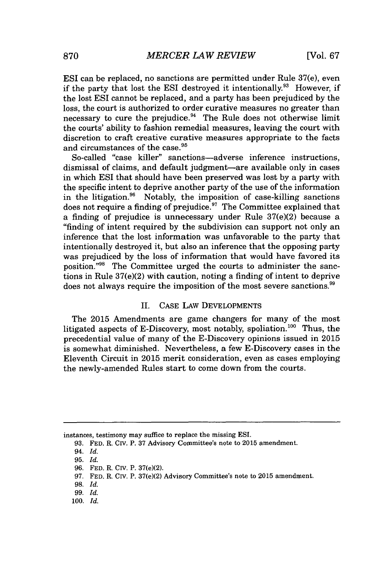ESI can be replaced, no sanctions are permitted under Rule 37(e), even if the party that lost the ESI destroyed it intentionally.<sup>93</sup> However, if the lost ESI cannot be replaced, and a party has been prejudiced **by** the loss, the court is authorized to order curative measures no greater than necessary to cure the prejudice.<sup>94</sup> The Rule does not otherwise limit the courts' ability to fashion remedial measures, leaving the court with discretion to craft creative curative measures appropriate to the facts and circumstances of the case.<sup>95</sup>

So-called "case killer" sanctions-adverse inference instructions, dismissal of claims, and default judgment-are available only in cases in which ESI that should have been preserved was lost **by** a party with the specific intent to deprive another party of the use of the information in the litigation. $96$  Notably, the imposition of case-killing sanctions does not require a finding of prejudice.<sup>97</sup> The Committee explained that a finding of prejudice is unnecessary under Rule 37(e)(2) because a "finding of intent required **by** the subdivision can support not only an inference that the lost information was unfavorable to the party that intentionally destroyed it, but also an inference that the opposing party was prejudiced **by** the loss of information that would have favored its position."<sup>98</sup> The Committee urged the courts to administer the sanctions in Rule 37(e)(2) with caution, noting a finding of intent to deprive does not always require the imposition of the most severe sanctions."

#### II. **CASE** LAW **DEVELOPMENTS**

The **2015** Amendments are game changers for many of the most litigated aspects of E-Discovery, most notably, spoliation.<sup>100</sup> Thus, the precedential value of many of the E-Discovery opinions issued in **2015** is somewhat diminished. Nevertheless, a few E-Discovery cases in the Eleventh Circuit in **2015** merit consideration, even as cases employing the newly-amended Rules start to come down from the courts.

instances, testimony may suffice to replace the missing **ESI.**

**100.** *Id.*

**<sup>93.</sup> FED.** R. CIv. P. **37** Advisory Committee's note to **2015** amendment.

*<sup>94.</sup> Id.*

**<sup>95.</sup>** *Id.*

**<sup>96.</sup> FED.** R. CIv. P. 37(e)(2).

**<sup>97.</sup> FED.** R. CIv. P. 37(e)(2) Advisory Committee's note to **2015** amendment.

**<sup>98.</sup>** *Id.*

**<sup>99.</sup>** *Id.*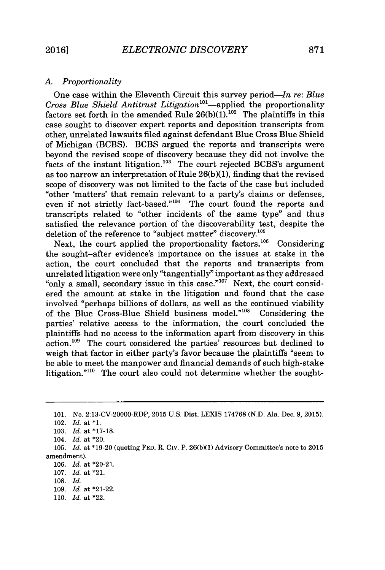#### *A. Proportionality*

One case within the Eleventh Circuit this survey *period-In re: Blue Cross Blue Shield Antitrust Litigation'<sup>0</sup> -applied* the proportionality factors set forth in the amended Rule  $26(b)(1)$ .<sup>102</sup> The plaintiffs in this case sought to discover expert reports and deposition transcripts from other, unrelated lawsuits filed against defendant Blue Cross Blue Shield of Michigan (BCBS). BCBS argued the reports and transcripts were beyond the revised scope of discovery because they did not involve the facts of the instant litigation.<sup>103</sup> The court rejected BCBS's argument as too narrow an interpretation of Rule **26(b)(1),** finding that the revised scope of discovery was not limited to the facts of the case but included "other 'matters' that remain relevant to a party's claims or defenses, even if not strictly fact-based." $104$  The court found the reports and transcripts related to "other incidents of the same type" and thus satisfied the relevance portion of the discoverability test, despite the deletion of the reference to "subject matter" discovery.<sup>105</sup>

Next, the court applied the proportionality factors.<sup>106</sup> Considering the sought-after evidence's importance on the issues at stake in the action, the court concluded that the reports and transcripts from unrelated litigation were only "tangentially" important as they addressed "only a small, secondary issue in this case." $10^7$  Next, the court considered the amount at stake in the litigation and found that the case involved "perhaps billions of dollars, as well as the continued viability of the Blue Cross-Blue Shield business model."<sup>108</sup> Considering the parties' relative access to the information, the court concluded the plaintiffs had no access to the information apart from discovery in this action.<sup>109</sup> The court considered the parties' resources but declined to weigh that factor in either party's favor because the plaintiffs "seem to be able to meet the manpower and financial demands of such high-stake litigation." $10$  The court also could not determine whether the sought-

**<sup>101.</sup>** No. 2:13-CV-20000-RDP, **2015 U.S.** Dist. LEXIS **174768 (N.D.** Ala. Dec. **9, 2015).**

<sup>102.</sup> *Id.* at **\*1.**

**<sup>103.</sup>** *Id.* at **\*17-18.**

<sup>104.</sup> *Id.* at \*20.

**<sup>105.</sup>** *Id.* at **\*19-20** (quoting **FED.** R. CIV. P. **26(b)(1)** Advisory Committee's note to **2015** amendment).

**<sup>106.</sup>** *Id.* at \*20-21.

**<sup>107.</sup>** *Id.* at \*21.

**<sup>108.</sup>** *Id.*

**<sup>109.</sup>** *Id.* at \*21-22.

**<sup>110.</sup>** *Id.* at \*22.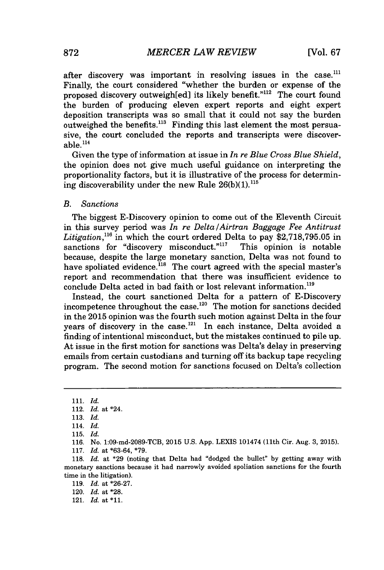after discovery was important in resolving issues in the case.<sup>111</sup> Finally, the court considered "whether the burden or expense of the proposed discovery outweigh[ed] its likely benefit."<sup>112</sup> The court found the burden of producing eleven expert reports and eight expert deposition transcripts was so small that it could not say the burden outweighed the benefits.<sup>113</sup> Finding this last element the most persuasive, the court concluded the reports and transcripts were discover $able.<sup>114</sup>$ 

Given the type of information at issue in *In re Blue Cross Blue Shield,* the opinion does not give much useful guidance on interpreting the proportionality factors, but it is illustrative of the process for determining discoverability under the new Rule **26(b)(1).1"s**

#### *B. Sanctions*

The biggest E-Discovery opinion to come out of the Eleventh Circuit in this survey period was *In re Delta/Airtran Baggage Fee Antitrust* Litigation,<sup>116</sup> in which the court ordered Delta to pay \$2,718,795.05 in sanctions for "discovery misconduct."<sup>117</sup> This opinion is notable sanctions for "discovery misconduct." $117$ because, despite the large monetary sanction, Delta was not found to have spoliated evidence.<sup>118</sup> The court agreed with the special master's report and recommendation that there was insufficient evidence to conclude Delta acted in bad faith or lost relevant information.<sup>119</sup>

Instead, the court sanctioned Delta for a pattern of E-Discovery incompetence throughout the case.<sup>120</sup> The motion for sanctions decided in the **2015** opinion was the fourth such motion against Delta in the four years of discovery in the case.<sup>121</sup> In each instance, Delta avoided a finding of intentional misconduct, but the mistakes continued to pile up. At issue in the first motion for sanctions was Delta's delay in preserving emails from certain custodians and turning off its backup tape recycling program. The second motion for sanctions focused on Delta's collection

**119.** *Id.* at **\*26-27.**

120. *Id.* at **\*28.**

**<sup>111.</sup>** *Id.*

<sup>112.</sup> *Id.* at \*24.

**<sup>113.</sup>** *Id.*

<sup>114.</sup> *Id.*

**<sup>115.</sup>** *Id.*

**<sup>116.</sup>** No. 1:09-md-2089-TCB, **2015 U.S. App.** LEXIS 101474 (11th Cir. Aug. **3, 2015).**

**<sup>117.</sup>** *Id.* at **\*63-64, \*79.**

**<sup>118.</sup>** *Id.* at **\*29** (noting that Delta had "dodged the bullet" **by** getting away with monetary sanctions because it had narrowly avoided spoliation sanctions for the fourth time in the litigation).

**<sup>121.</sup>** *Id.* at **\*11.**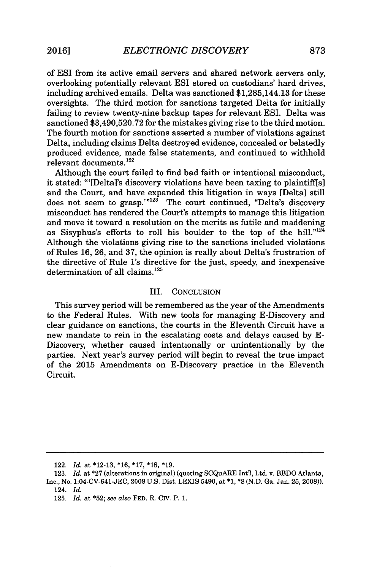of ESI from its active email servers and shared network servers only, overlooking potentially relevant ESI stored on custodians' hard drives, including archived emails. Delta was sanctioned \$1,285,144.13 for these oversights. The third motion for sanctions targeted Delta for initially failing to review twenty-nine backup tapes for relevant ESI. Delta was sanctioned **\$3,490,520.72** for the mistakes giving rise to the third motion. The fourth motion for sanctions asserted a number of violations against Delta, including claims Delta destroyed evidence, concealed or belatedly produced evidence, made false statements, and continued to withhold relevant documents. $122$ 

Although the court failed to find bad faith or intentional misconduct, it stated: "'[Delta]'s discovery violations have been taxing to plaintiffis] and the Court, and have expanded this litigation in ways [Delta] still does not seem to grasp." $123$  The court continued, "Delta's discovery misconduct has rendered the Court's attempts to manage this litigation and move it toward a resolution on the merits as futile and maddening as Sisyphus's efforts to roll his boulder to the top of the hill." $124$ Although the violations giving rise to the sanctions included violations of Rules **16, 26,** and **37,** the opinion is really about Delta's frustration of the directive of Rule 1's directive for the just, speedy, and inexpensive determination of all claims.<sup>125</sup>

#### III. **CONCLUSION**

This survey period will be remembered as the year of the Amendments to the Federal Rules. With new tools for managing E-Discovery and clear guidance on sanctions, the courts in the Eleventh Circuit have a new mandate to rein in the escalating costs and delays caused **by E-**Discovery, whether caused intentionally or unintentionally **by** the parties. Next year's survey period will begin to reveal the true impact of the **2015** Amendments on E-Discovery practice in the Eleventh Circuit.

<sup>122.</sup> *Id. at* **\*12-13, \*16, \*17, \*18, \*19.**

**<sup>123.</sup>** *Id. at* **\*27** (alterations in original) (quoting SCQuARE Int'l, Ltd. v. BBDO Atlanta, Inc., No. **1:04-CV-641-JEC, 2008 U.S.** Dist. LEXIS 5490, at **\*1, \*8 (N.D.** Ga. Jan. **25,2008)).** 124. *Id.*

**<sup>125.</sup>** *Id.* at **\*52;** *see also* **FED.** R. CIv. P. **1.**